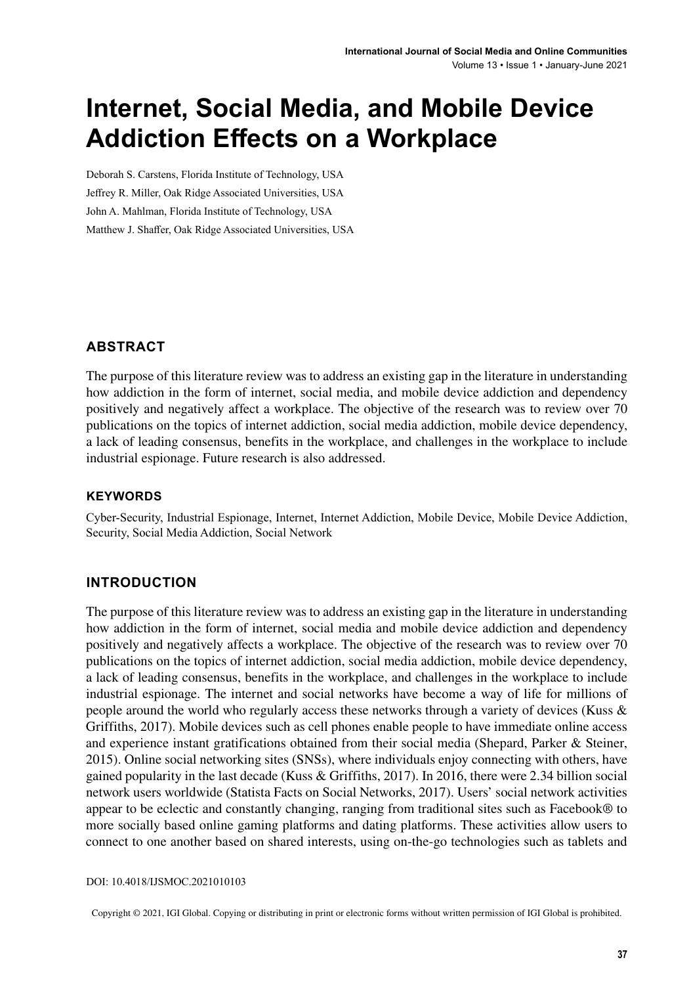# **Internet, Social Media, and Mobile Device Addiction Effects on a Workplace**

Deborah S. Carstens, Florida Institute of Technology, USA Jeffrey R. Miller, Oak Ridge Associated Universities, USA John A. Mahlman, Florida Institute of Technology, USA Matthew J. Shaffer, Oak Ridge Associated Universities, USA

#### **ABSTRACT**

The purpose of this literature review was to address an existing gap in the literature in understanding how addiction in the form of internet, social media, and mobile device addiction and dependency positively and negatively affect a workplace. The objective of the research was to review over 70 publications on the topics of internet addiction, social media addiction, mobile device dependency, a lack of leading consensus, benefits in the workplace, and challenges in the workplace to include industrial espionage. Future research is also addressed.

#### **Keywords**

Cyber-Security, Industrial Espionage, Internet, Internet Addiction, Mobile Device, Mobile Device Addiction, Security, Social Media Addiction, Social Network

#### **INTRODUCTION**

The purpose of this literature review was to address an existing gap in the literature in understanding how addiction in the form of internet, social media and mobile device addiction and dependency positively and negatively affects a workplace. The objective of the research was to review over 70 publications on the topics of internet addiction, social media addiction, mobile device dependency, a lack of leading consensus, benefits in the workplace, and challenges in the workplace to include industrial espionage. The internet and social networks have become a way of life for millions of people around the world who regularly access these networks through a variety of devices (Kuss & Griffiths, 2017). Mobile devices such as cell phones enable people to have immediate online access and experience instant gratifications obtained from their social media (Shepard, Parker & Steiner, 2015). Online social networking sites (SNSs), where individuals enjoy connecting with others, have gained popularity in the last decade (Kuss & Griffiths, 2017). In 2016, there were 2.34 billion social network users worldwide (Statista Facts on Social Networks, 2017). Users' social network activities appear to be eclectic and constantly changing, ranging from traditional sites such as Facebook® to more socially based online gaming platforms and dating platforms. These activities allow users to connect to one another based on shared interests, using on-the-go technologies such as tablets and

DOI: 10.4018/IJSMOC.2021010103

Copyright © 2021, IGI Global. Copying or distributing in print or electronic forms without written permission of IGI Global is prohibited.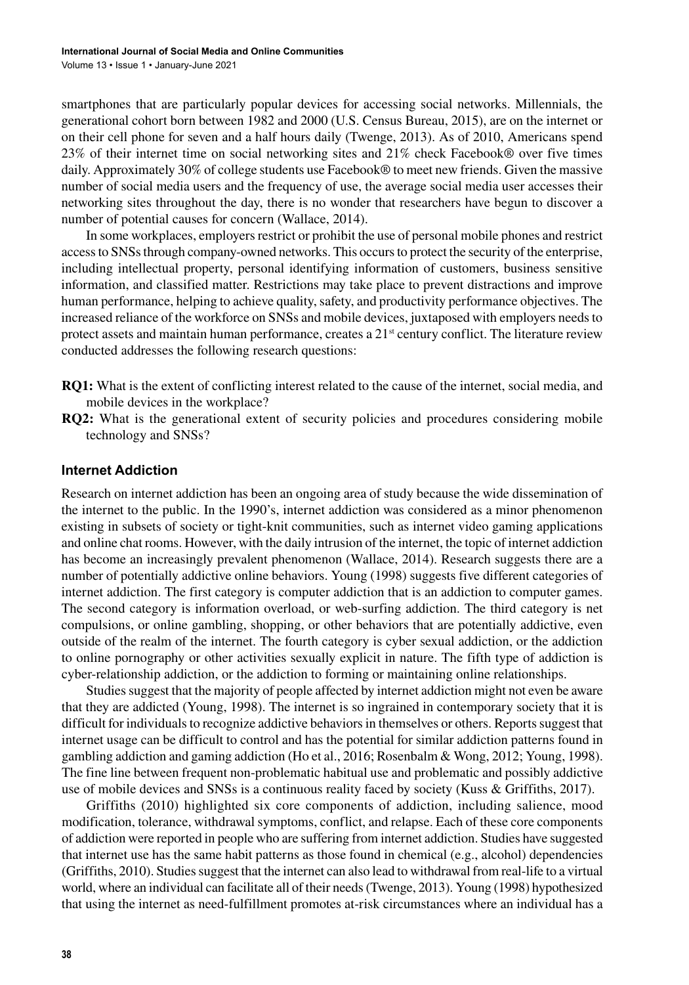smartphones that are particularly popular devices for accessing social networks. Millennials, the generational cohort born between 1982 and 2000 (U.S. Census Bureau, 2015), are on the internet or on their cell phone for seven and a half hours daily (Twenge, 2013). As of 2010, Americans spend 23% of their internet time on social networking sites and 21% check Facebook® over five times daily. Approximately 30% of college students use Facebook® to meet new friends. Given the massive number of social media users and the frequency of use, the average social media user accesses their networking sites throughout the day, there is no wonder that researchers have begun to discover a number of potential causes for concern (Wallace, 2014).

In some workplaces, employers restrict or prohibit the use of personal mobile phones and restrict accessto SNSsthrough company-owned networks. This occursto protect the security of the enterprise, including intellectual property, personal identifying information of customers, business sensitive information, and classified matter. Restrictions may take place to prevent distractions and improve human performance, helping to achieve quality, safety, and productivity performance objectives. The increased reliance of the workforce on SNSs and mobile devices, juxtaposed with employers needsto protect assets and maintain human performance, creates a  $21<sup>st</sup>$  century conflict. The literature review conducted addresses the following research questions:

- **RQ1:** What is the extent of conflicting interest related to the cause of the internet, social media, and mobile devices in the workplace?
- **RQ2:** What is the generational extent of security policies and procedures considering mobile technology and SNSs?

#### **Internet Addiction**

Research on internet addiction has been an ongoing area of study because the wide dissemination of the internet to the public. In the 1990's, internet addiction was considered as a minor phenomenon existing in subsets of society or tight-knit communities, such as internet video gaming applications and online chat rooms. However, with the daily intrusion of the internet, the topic of internet addiction has become an increasingly prevalent phenomenon (Wallace, 2014). Research suggests there are a number of potentially addictive online behaviors. Young (1998) suggests five different categories of internet addiction. The first category is computer addiction that is an addiction to computer games. The second category is information overload, or web-surfing addiction. The third category is net compulsions, or online gambling, shopping, or other behaviors that are potentially addictive, even outside of the realm of the internet. The fourth category is cyber sexual addiction, or the addiction to online pornography or other activities sexually explicit in nature. The fifth type of addiction is cyber-relationship addiction, or the addiction to forming or maintaining online relationships.

Studies suggest that the majority of people affected by internet addiction might not even be aware that they are addicted (Young, 1998). The internet is so ingrained in contemporary society that it is difficult for individuals to recognize addictive behaviors in themselves or others. Reports suggest that internet usage can be difficult to control and has the potential for similar addiction patterns found in gambling addiction and gaming addiction (Ho et al., 2016; Rosenbalm & Wong, 2012; Young, 1998). The fine line between frequent non-problematic habitual use and problematic and possibly addictive use of mobile devices and SNSs is a continuous reality faced by society (Kuss & Griffiths, 2017).

Griffiths (2010) highlighted six core components of addiction, including salience, mood modification, tolerance, withdrawal symptoms, conflict, and relapse. Each of these core components of addiction were reported in people who are suffering from internet addiction. Studies have suggested that internet use has the same habit patterns as those found in chemical (e.g., alcohol) dependencies (Griffiths, 2010). Studies suggest that the internet can also lead to withdrawal from real-life to a virtual world, where an individual can facilitate all of their needs(Twenge, 2013). Young (1998) hypothesized that using the internet as need-fulfillment promotes at-risk circumstances where an individual has a